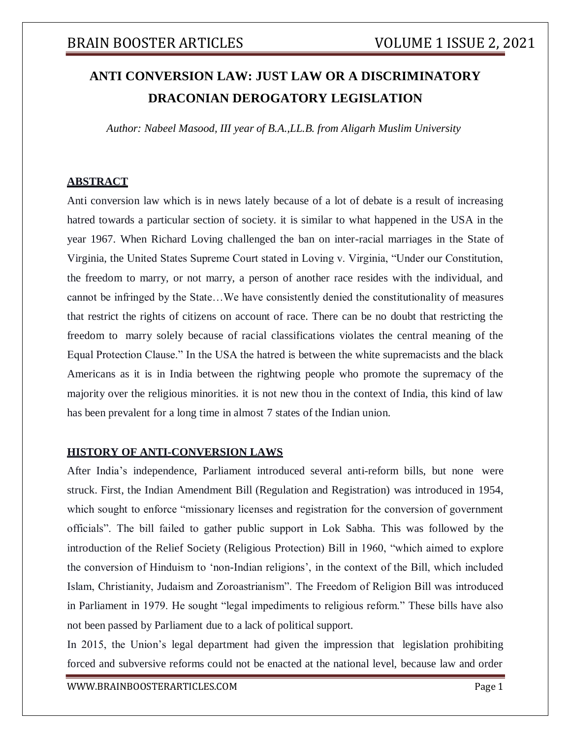# **ANTI CONVERSION LAW: JUST LAW OR A DISCRIMINATORY DRACONIAN DEROGATORY LEGISLATION**

*Author: Nabeel Masood, III year of B.A.,LL.B. from Aligarh Muslim University*

#### **ABSTRACT**

Anti conversion law which is in news lately because of a lot of debate is a result of increasing hatred towards a particular section of society. it is similar to what happened in the USA in the year 1967. When Richard Loving challenged the ban on inter-racial marriages in the State of Virginia, the United States Supreme Court stated in Loving v. Virginia, "Under our Constitution, the freedom to marry, or not marry, a person of another race resides with the individual, and cannot be infringed by the State…We have consistently denied the constitutionality of measures that restrict the rights of citizens on account of race. There can be no doubt that restricting the freedom to marry solely because of racial classifications violates the central meaning of the Equal Protection Clause." In the USA the hatred is between the white supremacists and the black Americans as it is in India between the rightwing people who promote the supremacy of the majority over the religious minorities. it is not new thou in the context of India, this kind of law has been prevalent for a long time in almost 7 states of the Indian union.

#### **HISTORY OF ANTI-CONVERSION LAWS**

After India's independence, Parliament introduced several anti-reform bills, but none were struck. First, the Indian Amendment Bill (Regulation and Registration) was introduced in 1954, which sought to enforce "missionary licenses and registration for the conversion of government officials". The bill failed to gather public support in Lok Sabha. This was followed by the introduction of the Relief Society (Religious Protection) Bill in 1960, "which aimed to explore the conversion of Hinduism to 'non-Indian religions', in the context of the Bill, which included Islam, Christianity, Judaism and Zoroastrianism". The Freedom of Religion Bill was introduced in Parliament in 1979. He sought "legal impediments to religious reform." These bills have also not been passed by Parliament due to a lack of political support.

In 2015, the Union's legal department had given the impression that legislation prohibiting forced and subversive reforms could not be enacted at the national level, because law and order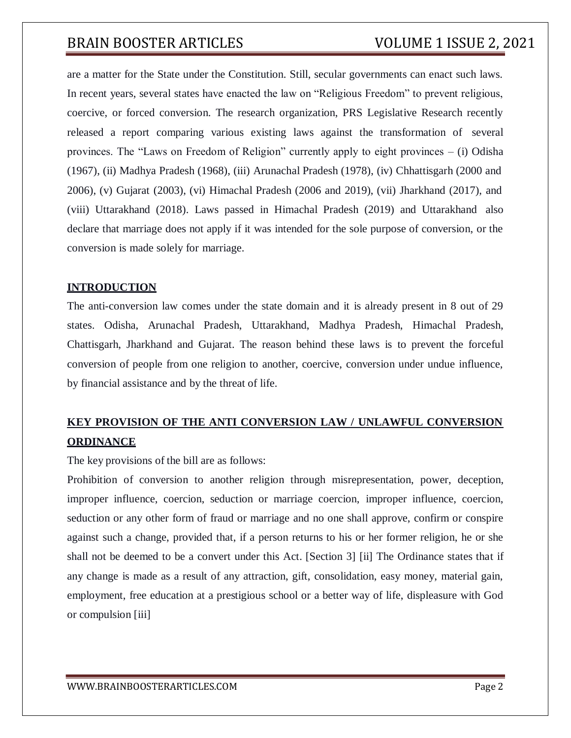are a matter for the State under the Constitution. Still, secular governments can enact such laws. In recent years, several states have enacted the law on "Religious Freedom" to prevent religious, coercive, or forced conversion. The research organization, PRS Legislative Research recently released a report comparing various existing laws against the transformation of several provinces. The "Laws on Freedom of Religion" currently apply to eight provinces – (i) Odisha (1967), (ii) Madhya Pradesh (1968), (iii) Arunachal Pradesh (1978), (iv) Chhattisgarh (2000 and 2006), (v) Gujarat (2003), (vi) Himachal Pradesh (2006 and 2019), (vii) Jharkhand (2017), and (viii) Uttarakhand (2018). Laws passed in Himachal Pradesh (2019) and Uttarakhand also declare that marriage does not apply if it was intended for the sole purpose of conversion, or the conversion is made solely for marriage.

### **INTRODUCTION**

The anti-conversion law comes under the state domain and it is already present in 8 out of 29 states. Odisha, Arunachal Pradesh, Uttarakhand, Madhya Pradesh, Himachal Pradesh, Chattisgarh, Jharkhand and Gujarat. The reason behind these laws is to prevent the forceful conversion of people from one religion to another, coercive, conversion under undue influence, by financial assistance and by the threat of life.

## **KEY PROVISION OF THE ANTI CONVERSION LAW / UNLAWFUL CONVERSION ORDINANCE**

The key provisions of the bill are as follows:

Prohibition of conversion to another religion through misrepresentation, power, deception, improper influence, coercion, seduction or marriage coercion, improper influence, coercion, seduction or any other form of fraud or marriage and no one shall approve, confirm or conspire against such a change, provided that, if a person returns to his or her former religion, he or she shall not be deemed to be a convert under this Act. [Section 3] [ii] The Ordinance states that if any change is made as a result of any attraction, gift, consolidation, easy money, material gain, employment, free education at a prestigious school or a better way of life, displeasure with God or compulsion [iii]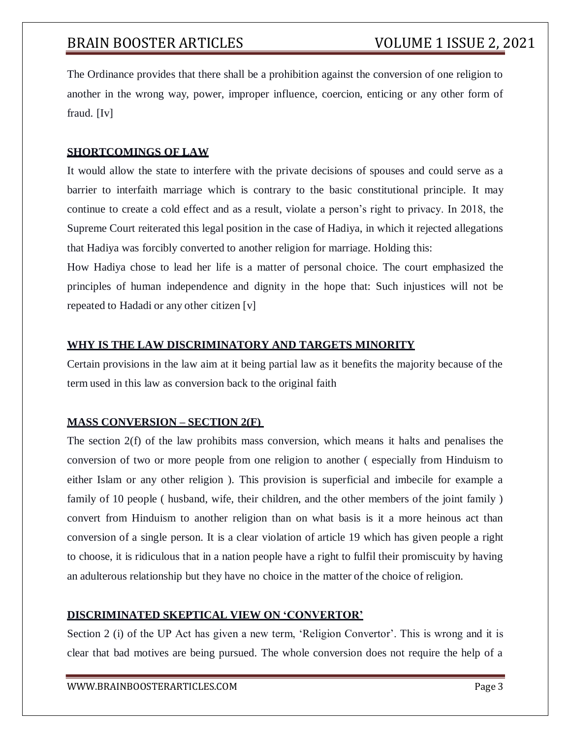The Ordinance provides that there shall be a prohibition against the conversion of one religion to another in the wrong way, power, improper influence, coercion, enticing or any other form of fraud. [Iv]

#### **SHORTCOMINGS OF LAW**

It would allow the state to interfere with the private decisions of spouses and could serve as a barrier to interfaith marriage which is contrary to the basic constitutional principle. It may continue to create a cold effect and as a result, violate a person's right to privacy. In 2018, the Supreme Court reiterated this legal position in the case of Hadiya, in which it rejected allegations that Hadiya was forcibly converted to another religion for marriage. Holding this:

How Hadiya chose to lead her life is a matter of personal choice. The court emphasized the principles of human independence and dignity in the hope that: Such injustices will not be repeated to Hadadi or any other citizen [v]

#### **WHY IS THE LAW DISCRIMINATORY AND TARGETS MINORITY**

Certain provisions in the law aim at it being partial law as it benefits the majority because of the term used in this law as conversion back to the original faith

#### **MASS CONVERSION – SECTION 2(F)**

The section 2(f) of the law prohibits mass conversion, which means it halts and penalises the conversion of two or more people from one religion to another ( especially from Hinduism to either Islam or any other religion ). This provision is superficial and imbecile for example a family of 10 people ( husband, wife, their children, and the other members of the joint family ) convert from Hinduism to another religion than on what basis is it a more heinous act than conversion of a single person. It is a clear violation of article 19 which has given people a right to choose, it is ridiculous that in a nation people have a right to fulfil their promiscuity by having an adulterous relationship but they have no choice in the matter of the choice of religion.

### **DISCRIMINATED SKEPTICAL VIEW ON 'CONVERTOR'**

Section 2 (i) of the UP Act has given a new term, 'Religion Convertor'. This is wrong and it is clear that bad motives are being pursued. The whole conversion does not require the help of a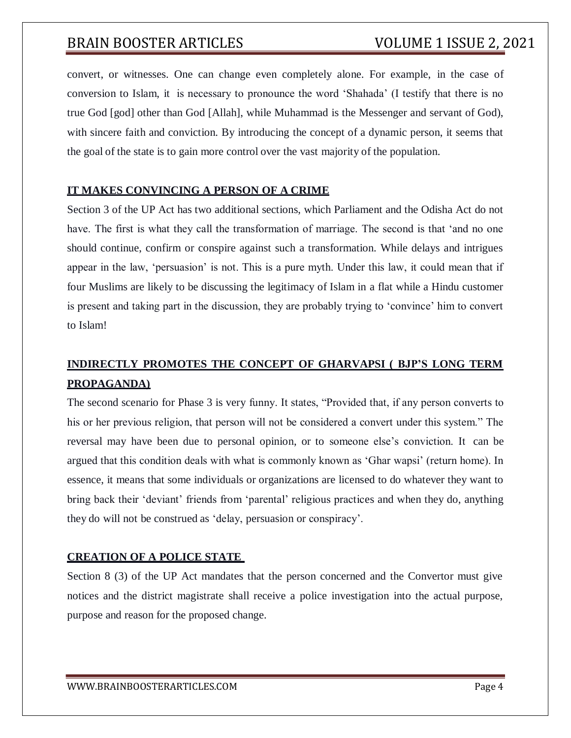convert, or witnesses. One can change even completely alone. For example, in the case of conversion to Islam, it is necessary to pronounce the word 'Shahada' (I testify that there is no true God [god] other than God [Allah], while Muhammad is the Messenger and servant of God), with sincere faith and conviction. By introducing the concept of a dynamic person, it seems that the goal of the state is to gain more control over the vast majority of the population.

#### **IT MAKES CONVINCING A PERSON OF A CRIME**

Section 3 of the UP Act has two additional sections, which Parliament and the Odisha Act do not have. The first is what they call the transformation of marriage. The second is that 'and no one should continue, confirm or conspire against such a transformation. While delays and intrigues appear in the law, 'persuasion' is not. This is a pure myth. Under this law, it could mean that if four Muslims are likely to be discussing the legitimacy of Islam in a flat while a Hindu customer is present and taking part in the discussion, they are probably trying to 'convince' him to convert to Islam!

## **INDIRECTLY PROMOTES THE CONCEPT OF GHARVAPSI ( BJP'S LONG TERM PROPAGANDA)**

The second scenario for Phase 3 is very funny. It states, "Provided that, if any person converts to his or her previous religion, that person will not be considered a convert under this system." The reversal may have been due to personal opinion, or to someone else's conviction. It can be argued that this condition deals with what is commonly known as 'Ghar wapsi' (return home). In essence, it means that some individuals or organizations are licensed to do whatever they want to bring back their 'deviant' friends from 'parental' religious practices and when they do, anything they do will not be construed as 'delay, persuasion or conspiracy'.

### **CREATION OF A POLICE STATE**

Section 8 (3) of the UP Act mandates that the person concerned and the Convertor must give notices and the district magistrate shall receive a police investigation into the actual purpose, purpose and reason for the proposed change.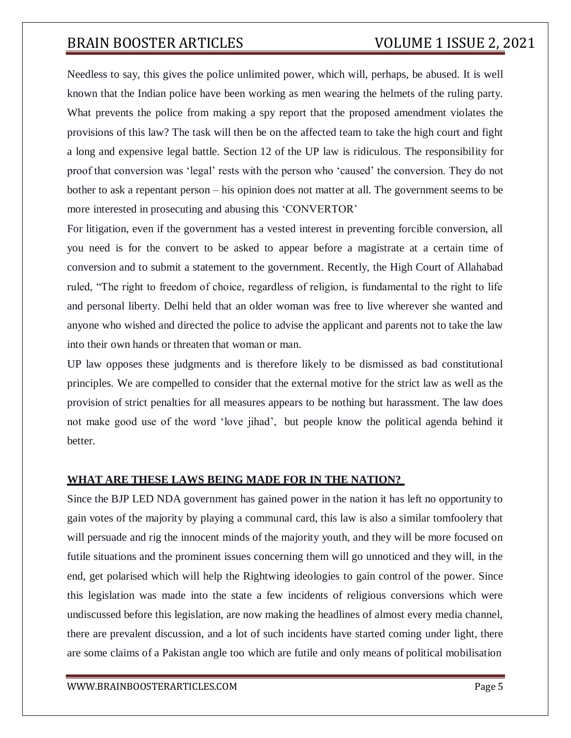Needless to say, this gives the police unlimited power, which will, perhaps, be abused. It is well known that the Indian police have been working as men wearing the helmets of the ruling party. What prevents the police from making a spy report that the proposed amendment violates the provisions of this law? The task will then be on the affected team to take the high court and fight a long and expensive legal battle. Section 12 of the UP law is ridiculous. The responsibility for proof that conversion was 'legal' rests with the person who 'caused' the conversion. They do not bother to ask a repentant person – his opinion does not matter at all. The government seems to be more interested in prosecuting and abusing this 'CONVERTOR'

For litigation, even if the government has a vested interest in preventing forcible conversion, all you need is for the convert to be asked to appear before a magistrate at a certain time of conversion and to submit a statement to the government. Recently, the High Court of Allahabad ruled, "The right to freedom of choice, regardless of religion, is fundamental to the right to life and personal liberty. Delhi held that an older woman was free to live wherever she wanted and anyone who wished and directed the police to advise the applicant and parents not to take the law into their own hands or threaten that woman or man.

UP law opposes these judgments and is therefore likely to be dismissed as bad constitutional principles. We are compelled to consider that the external motive for the strict law as well as the provision of strict penalties for all measures appears to be nothing but harassment. The law does not make good use of the word 'love jihad', but people know the political agenda behind it better.

### **WHAT ARE THESE LAWS BEING MADE FOR IN THE NATION?**

Since the BJP LED NDA government has gained power in the nation it has left no opportunity to gain votes of the majority by playing a communal card, this law is also a similar tomfoolery that will persuade and rig the innocent minds of the majority youth, and they will be more focused on futile situations and the prominent issues concerning them will go unnoticed and they will, in the end, get polarised which will help the Rightwing ideologies to gain control of the power. Since this legislation was made into the state a few incidents of religious conversions which were undiscussed before this legislation, are now making the headlines of almost every media channel, there are prevalent discussion, and a lot of such incidents have started coming under light, there are some claims of a Pakistan angle too which are futile and only means of political mobilisation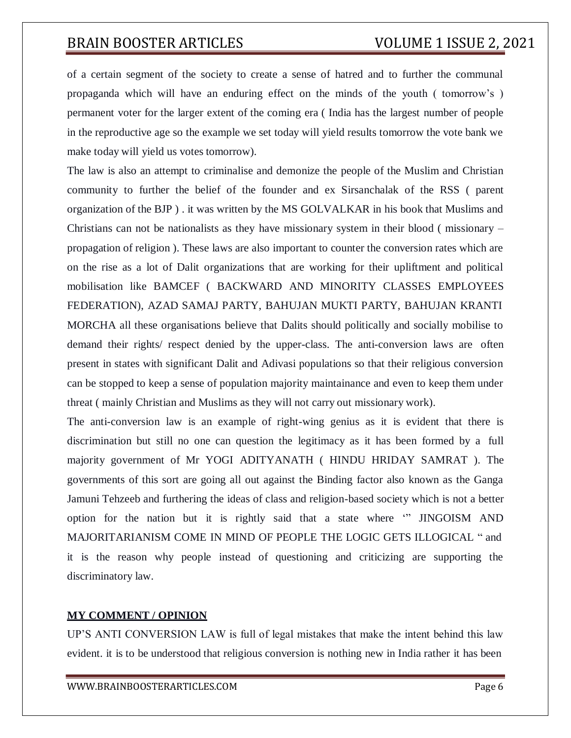of a certain segment of the society to create a sense of hatred and to further the communal propaganda which will have an enduring effect on the minds of the youth ( tomorrow's ) permanent voter for the larger extent of the coming era ( India has the largest number of people in the reproductive age so the example we set today will yield results tomorrow the vote bank we make today will yield us votes tomorrow).

The law is also an attempt to criminalise and demonize the people of the Muslim and Christian community to further the belief of the founder and ex Sirsanchalak of the RSS ( parent organization of the BJP ) . it was written by the MS GOLVALKAR in his book that Muslims and Christians can not be nationalists as they have missionary system in their blood ( missionary – propagation of religion ). These laws are also important to counter the conversion rates which are on the rise as a lot of Dalit organizations that are working for their upliftment and political mobilisation like BAMCEF ( BACKWARD AND MINORITY CLASSES EMPLOYEES FEDERATION), AZAD SAMAJ PARTY, BAHUJAN MUKTI PARTY, BAHUJAN KRANTI MORCHA all these organisations believe that Dalits should politically and socially mobilise to demand their rights/ respect denied by the upper-class. The anti-conversion laws are often present in states with significant Dalit and Adivasi populations so that their religious conversion can be stopped to keep a sense of population majority maintainance and even to keep them under threat ( mainly Christian and Muslims as they will not carry out missionary work).

The anti-conversion law is an example of right-wing genius as it is evident that there is discrimination but still no one can question the legitimacy as it has been formed by a full majority government of Mr YOGI ADITYANATH ( HINDU HRIDAY SAMRAT ). The governments of this sort are going all out against the Binding factor also known as the Ganga Jamuni Tehzeeb and furthering the ideas of class and religion-based society which is not a better option for the nation but it is rightly said that a state where '" JINGOISM AND MAJORITARIANISM COME IN MIND OF PEOPLE THE LOGIC GETS ILLOGICAL " and it is the reason why people instead of questioning and criticizing are supporting the discriminatory law.

#### **MY COMMENT / OPINION**

UP'S ANTI CONVERSION LAW is full of legal mistakes that make the intent behind this law evident. it is to be understood that religious conversion is nothing new in India rather it has been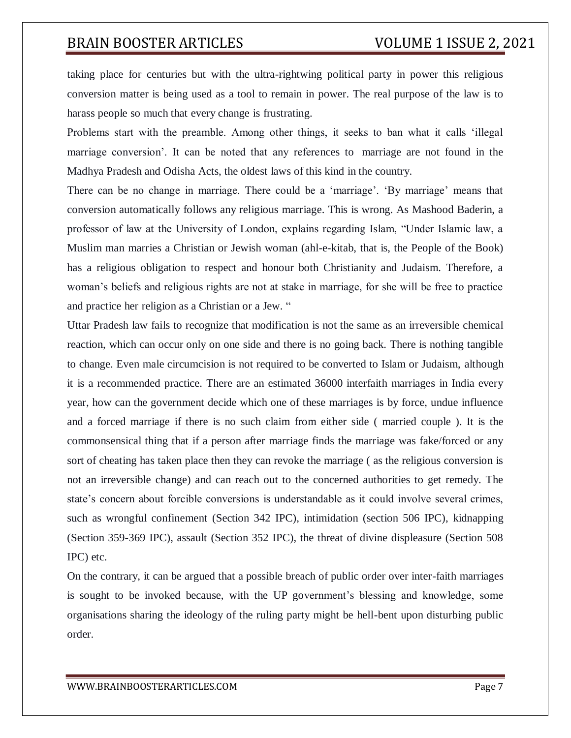taking place for centuries but with the ultra-rightwing political party in power this religious conversion matter is being used as a tool to remain in power. The real purpose of the law is to harass people so much that every change is frustrating.

Problems start with the preamble. Among other things, it seeks to ban what it calls 'illegal marriage conversion'. It can be noted that any references to marriage are not found in the Madhya Pradesh and Odisha Acts, the oldest laws of this kind in the country.

There can be no change in marriage. There could be a 'marriage'. 'By marriage' means that conversion automatically follows any religious marriage. This is wrong. As Mashood Baderin, a professor of law at the University of London, explains regarding Islam, "Under Islamic law, a Muslim man marries a Christian or Jewish woman (ahl-e-kitab, that is, the People of the Book) has a religious obligation to respect and honour both Christianity and Judaism. Therefore, a woman's beliefs and religious rights are not at stake in marriage, for she will be free to practice and practice her religion as a Christian or a Jew. "

Uttar Pradesh law fails to recognize that modification is not the same as an irreversible chemical reaction, which can occur only on one side and there is no going back. There is nothing tangible to change. Even male circumcision is not required to be converted to Islam or Judaism, although it is a recommended practice. There are an estimated 36000 interfaith marriages in India every year, how can the government decide which one of these marriages is by force, undue influence and a forced marriage if there is no such claim from either side ( married couple ). It is the commonsensical thing that if a person after marriage finds the marriage was fake/forced or any sort of cheating has taken place then they can revoke the marriage ( as the religious conversion is not an irreversible change) and can reach out to the concerned authorities to get remedy. The state's concern about forcible conversions is understandable as it could involve several crimes, such as wrongful confinement (Section 342 IPC), intimidation (section 506 IPC), kidnapping (Section 359-369 IPC), assault (Section 352 IPC), the threat of divine displeasure (Section 508 IPC) etc.

On the contrary, it can be argued that a possible breach of public order over inter-faith marriages is sought to be invoked because, with the UP government's blessing and knowledge, some organisations sharing the ideology of the ruling party might be hell-bent upon disturbing public order.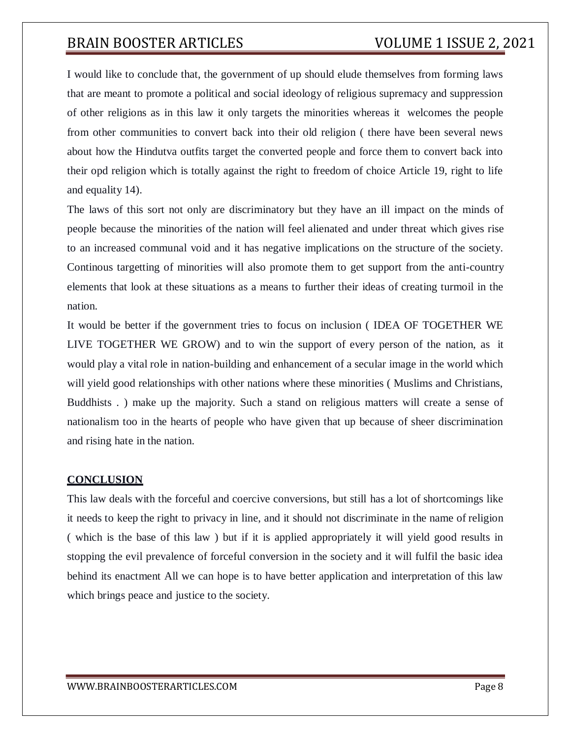I would like to conclude that, the government of up should elude themselves from forming laws that are meant to promote a political and social ideology of religious supremacy and suppression of other religions as in this law it only targets the minorities whereas it welcomes the people from other communities to convert back into their old religion ( there have been several news about how the Hindutva outfits target the converted people and force them to convert back into their opd religion which is totally against the right to freedom of choice Article 19, right to life and equality 14).

The laws of this sort not only are discriminatory but they have an ill impact on the minds of people because the minorities of the nation will feel alienated and under threat which gives rise to an increased communal void and it has negative implications on the structure of the society. Continous targetting of minorities will also promote them to get support from the anti-country elements that look at these situations as a means to further their ideas of creating turmoil in the nation.

It would be better if the government tries to focus on inclusion ( IDEA OF TOGETHER WE LIVE TOGETHER WE GROW) and to win the support of every person of the nation, as it would play a vital role in nation-building and enhancement of a secular image in the world which will yield good relationships with other nations where these minorities ( Muslims and Christians, Buddhists . ) make up the majority. Such a stand on religious matters will create a sense of nationalism too in the hearts of people who have given that up because of sheer discrimination and rising hate in the nation.

#### **CONCLUSION**

This law deals with the forceful and coercive conversions, but still has a lot of shortcomings like it needs to keep the right to privacy in line, and it should not discriminate in the name of religion ( which is the base of this law ) but if it is applied appropriately it will yield good results in stopping the evil prevalence of forceful conversion in the society and it will fulfil the basic idea behind its enactment All we can hope is to have better application and interpretation of this law which brings peace and justice to the society.